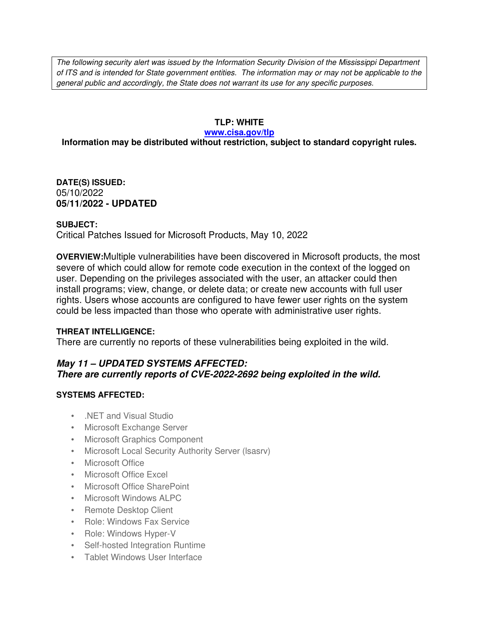The following security alert was issued by the Information Security Division of the Mississippi Department of ITS and is intended for State government entities. The information may or may not be applicable to the general public and accordingly, the State does not warrant its use for any specific purposes.

## **TLP: WHITE**

#### **www.cisa.gov/tlp**

## **Information may be distributed without restriction, subject to standard copyright rules.**

**DATE(S) ISSUED:** 05/10/2022 **05/11/2022 - UPDATED**

#### **SUBJECT:**

Critical Patches Issued for Microsoft Products, May 10, 2022

**OVERVIEW:**Multiple vulnerabilities have been discovered in Microsoft products, the most severe of which could allow for remote code execution in the context of the logged on user. Depending on the privileges associated with the user, an attacker could then install programs; view, change, or delete data; or create new accounts with full user rights. Users whose accounts are configured to have fewer user rights on the system could be less impacted than those who operate with administrative user rights.

#### **THREAT INTELLIGENCE:**

There are currently no reports of these vulnerabilities being exploited in the wild.

## *May 11 – UPDATED SYSTEMS AFFECTED: There are currently reports of CVE-2022-2692 being exploited in the wild.*

#### **SYSTEMS AFFECTED:**

- .NET and Visual Studio
- Microsoft Exchange Server
- Microsoft Graphics Component
- Microsoft Local Security Authority Server (lsasrv)
- Microsoft Office
- Microsoft Office Excel
- Microsoft Office SharePoint
- Microsoft Windows ALPC
- Remote Desktop Client
- Role: Windows Fax Service
- Role: Windows Hyper-V
- Self-hosted Integration Runtime
- Tablet Windows User Interface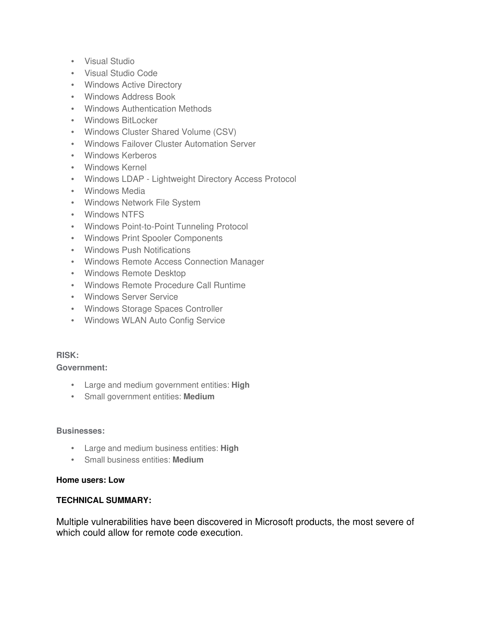- Visual Studio
- Visual Studio Code
- Windows Active Directory
- Windows Address Book
- Windows Authentication Methods
- Windows BitLocker
- Windows Cluster Shared Volume (CSV)
- Windows Failover Cluster Automation Server
- Windows Kerberos
- Windows Kernel
- Windows LDAP Lightweight Directory Access Protocol
- Windows Media
- Windows Network File System
- Windows NTFS
- Windows Point-to-Point Tunneling Protocol
- Windows Print Spooler Components
- Windows Push Notifications
- Windows Remote Access Connection Manager
- Windows Remote Desktop
- Windows Remote Procedure Call Runtime
- Windows Server Service
- Windows Storage Spaces Controller
- Windows WLAN Auto Config Service

## **RISK:**

### **Government:**

- Large and medium government entities: **High**
- Small government entities: **Medium**

#### **Businesses:**

- Large and medium business entities: **High**
- Small business entities: **Medium**

#### **Home users: Low**

#### **TECHNICAL SUMMARY:**

Multiple vulnerabilities have been discovered in Microsoft products, the most severe of which could allow for remote code execution.